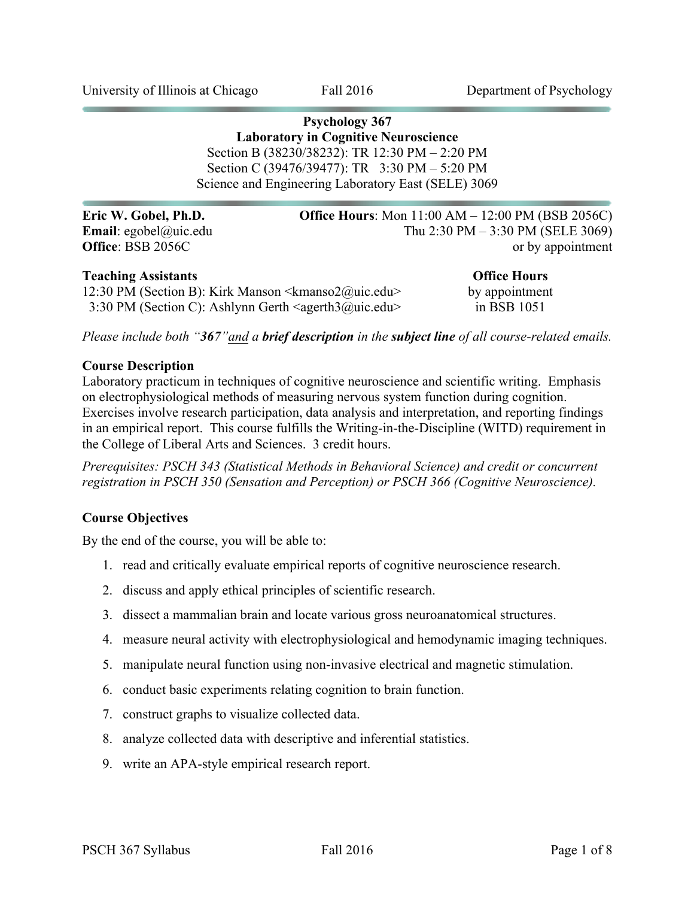**Psychology 367 Laboratory in Cognitive Neuroscience** Section B (38230/38232): TR 12:30 PM – 2:20 PM Section C (39476/39477): TR 3:30 PM – 5:20 PM Science and Engineering Laboratory East (SELE) 3069

**Eric W. Gobel, Ph.D. <b>Office Hours**: Mon 11:00 AM – 12:00 PM (BSB 2056C) **Email**: egobel@uic.edu Thu 2:30 PM – 3:30 PM (SELE 3069) **Office**: BSB 2056C or by appointment

#### **Teaching Assistants Office Hours**

12:30 PM (Section B): Kirk Manson  $\langle k$ manso $2\omega$ uic.edu> by appointment 3:30 PM (Section C): Ashlynn Gerth <agerth3@uic.edu> in BSB 1051

*Please include both "367"and a brief description in the subject line of all course-related emails.*

#### **Course Description**

Laboratory practicum in techniques of cognitive neuroscience and scientific writing. Emphasis on electrophysiological methods of measuring nervous system function during cognition. Exercises involve research participation, data analysis and interpretation, and reporting findings in an empirical report. This course fulfills the Writing-in-the-Discipline (WITD) requirement in the College of Liberal Arts and Sciences. 3 credit hours.

*Prerequisites: PSCH 343 (Statistical Methods in Behavioral Science) and credit or concurrent registration in PSCH 350 (Sensation and Perception) or PSCH 366 (Cognitive Neuroscience).*

#### **Course Objectives**

By the end of the course, you will be able to:

- 1. read and critically evaluate empirical reports of cognitive neuroscience research.
- 2. discuss and apply ethical principles of scientific research.
- 3. dissect a mammalian brain and locate various gross neuroanatomical structures.
- 4. measure neural activity with electrophysiological and hemodynamic imaging techniques.
- 5. manipulate neural function using non-invasive electrical and magnetic stimulation.
- 6. conduct basic experiments relating cognition to brain function.
- 7. construct graphs to visualize collected data.
- 8. analyze collected data with descriptive and inferential statistics.
- 9. write an APA-style empirical research report.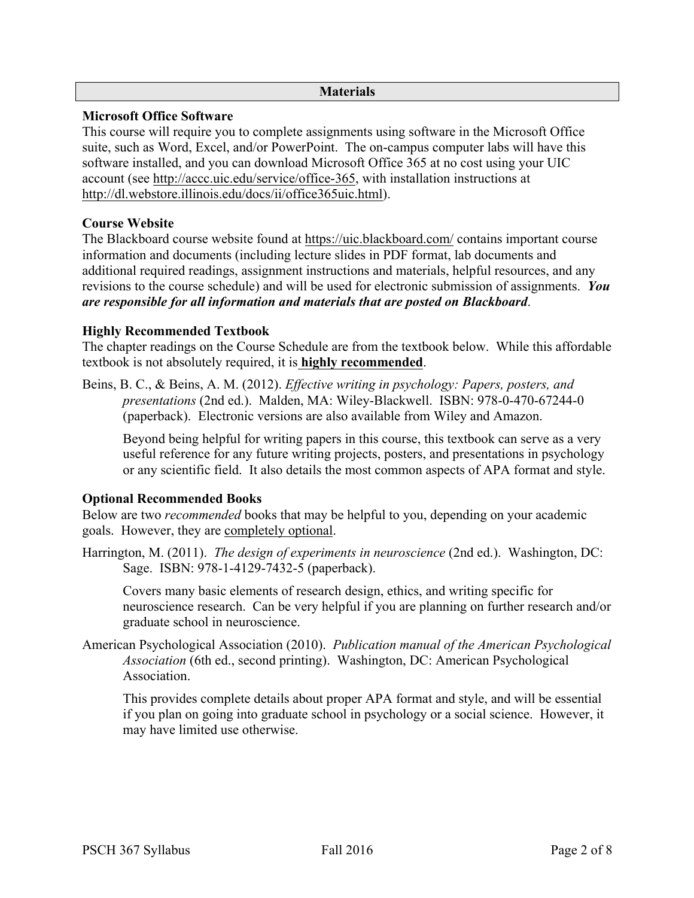### **Materials**

### **Microsoft Office Software**

This course will require you to complete assignments using software in the Microsoft Office suite, such as Word, Excel, and/or PowerPoint. The on-campus computer labs will have this software installed, and you can download Microsoft Office 365 at no cost using your UIC account (see http://accc.uic.edu/service/office-365, with installation instructions at http://dl.webstore.illinois.edu/docs/ii/office365uic.html).

## **Course Website**

The Blackboard course website found at https://uic.blackboard.com/ contains important course information and documents (including lecture slides in PDF format, lab documents and additional required readings, assignment instructions and materials, helpful resources, and any revisions to the course schedule) and will be used for electronic submission of assignments. *You are responsible for all information and materials that are posted on Blackboard*.

### **Highly Recommended Textbook**

The chapter readings on the Course Schedule are from the textbook below. While this affordable textbook is not absolutely required, it is **highly recommended**.

Beins, B. C., & Beins, A. M. (2012). *Effective writing in psychology: Papers, posters, and presentations* (2nd ed.). Malden, MA: Wiley-Blackwell. ISBN: 978-0-470-67244-0 (paperback). Electronic versions are also available from Wiley and Amazon.

Beyond being helpful for writing papers in this course, this textbook can serve as a very useful reference for any future writing projects, posters, and presentations in psychology or any scientific field. It also details the most common aspects of APA format and style.

## **Optional Recommended Books**

Below are two *recommended* books that may be helpful to you, depending on your academic goals. However, they are completely optional.

Harrington, M. (2011). *The design of experiments in neuroscience* (2nd ed.). Washington, DC: Sage. ISBN: 978-1-4129-7432-5 (paperback).

Covers many basic elements of research design, ethics, and writing specific for neuroscience research. Can be very helpful if you are planning on further research and/or graduate school in neuroscience.

American Psychological Association (2010). *Publication manual of the American Psychological Association* (6th ed., second printing). Washington, DC: American Psychological **Association** 

This provides complete details about proper APA format and style, and will be essential if you plan on going into graduate school in psychology or a social science. However, it may have limited use otherwise.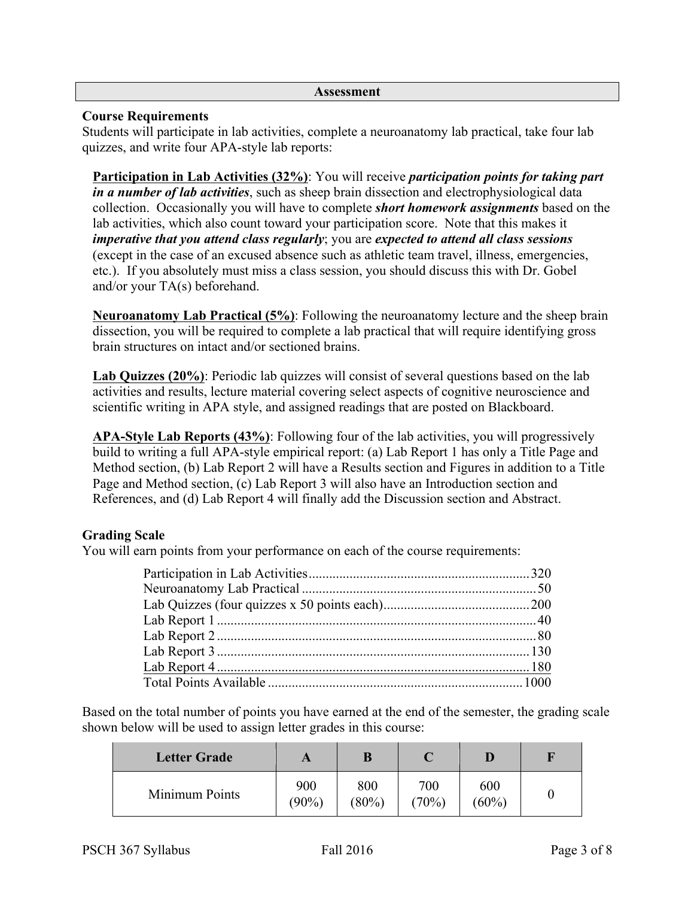#### **Assessment**

## **Course Requirements**

Students will participate in lab activities, complete a neuroanatomy lab practical, take four lab quizzes, and write four APA-style lab reports:

**Participation in Lab Activities (32%)**: You will receive *participation points for taking part in a number of lab activities*, such as sheep brain dissection and electrophysiological data collection. Occasionally you will have to complete *short homework assignments* based on the lab activities, which also count toward your participation score. Note that this makes it *imperative that you attend class regularly*; you are *expected to attend all class sessions* (except in the case of an excused absence such as athletic team travel, illness, emergencies, etc.). If you absolutely must miss a class session, you should discuss this with Dr. Gobel and/or your TA(s) beforehand.

**Neuroanatomy Lab Practical (5%)**: Following the neuroanatomy lecture and the sheep brain dissection, you will be required to complete a lab practical that will require identifying gross brain structures on intact and/or sectioned brains.

**Lab Quizzes (20%)**: Periodic lab quizzes will consist of several questions based on the lab activities and results, lecture material covering select aspects of cognitive neuroscience and scientific writing in APA style, and assigned readings that are posted on Blackboard.

**APA-Style Lab Reports (43%)**: Following four of the lab activities, you will progressively build to writing a full APA-style empirical report: (a) Lab Report 1 has only a Title Page and Method section, (b) Lab Report 2 will have a Results section and Figures in addition to a Title Page and Method section, (c) Lab Report 3 will also have an Introduction section and References, and (d) Lab Report 4 will finally add the Discussion section and Abstract.

## **Grading Scale**

You will earn points from your performance on each of the course requirements:

Based on the total number of points you have earned at the end of the semester, the grading scale shown below will be used to assign letter grades in this course:

| <b>Letter Grade</b> |                 |                 |              |                 |  |
|---------------------|-----------------|-----------------|--------------|-----------------|--|
| Minimum Points      | 900<br>$(90\%)$ | 800<br>$(80\%)$ | 700<br>(70%) | 600<br>$(60\%)$ |  |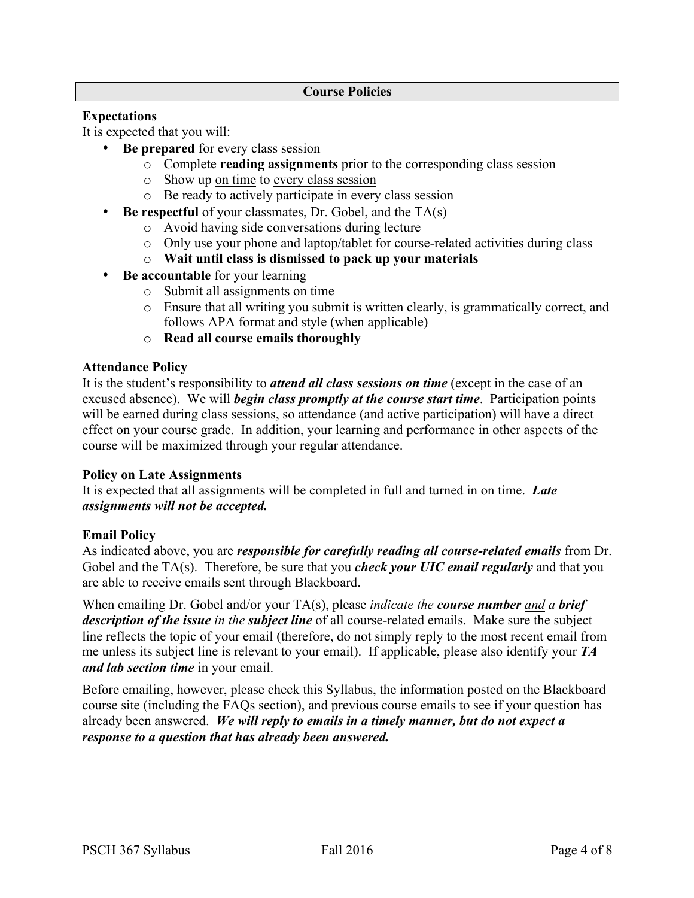## **Expectations**

It is expected that you will:

- **Be prepared** for every class session
	- o Complete **reading assignments** prior to the corresponding class session
	- o Show up on time to every class session
	- o Be ready to actively participate in every class session
- **Be respectful** of your classmates, Dr. Gobel, and the TA(s)
	- o Avoid having side conversations during lecture
	- o Only use your phone and laptop/tablet for course-related activities during class
	- o **Wait until class is dismissed to pack up your materials**
- **Be accountable** for your learning
	- o Submit all assignments on time
	- o Ensure that all writing you submit is written clearly, is grammatically correct, and follows APA format and style (when applicable)
	- o **Read all course emails thoroughly**

#### **Attendance Policy**

It is the student's responsibility to *attend all class sessions on time* (except in the case of an excused absence). We will *begin class promptly at the course start time*. Participation points will be earned during class sessions, so attendance (and active participation) will have a direct effect on your course grade. In addition, your learning and performance in other aspects of the course will be maximized through your regular attendance.

#### **Policy on Late Assignments**

It is expected that all assignments will be completed in full and turned in on time. *Late assignments will not be accepted.*

#### **Email Policy**

As indicated above, you are *responsible for carefully reading all course-related emails* from Dr. Gobel and the TA(s). Therefore, be sure that you *check your UIC email regularly* and that you are able to receive emails sent through Blackboard.

When emailing Dr. Gobel and/or your TA(s), please *indicate the course number and a brief description of the issue in the subject line* of all course-related emails. Make sure the subject line reflects the topic of your email (therefore, do not simply reply to the most recent email from me unless its subject line is relevant to your email). If applicable, please also identify your *TA and lab section time* in your email.

Before emailing, however, please check this Syllabus, the information posted on the Blackboard course site (including the FAQs section), and previous course emails to see if your question has already been answered. *We will reply to emails in a timely manner, but do not expect a response to a question that has already been answered.*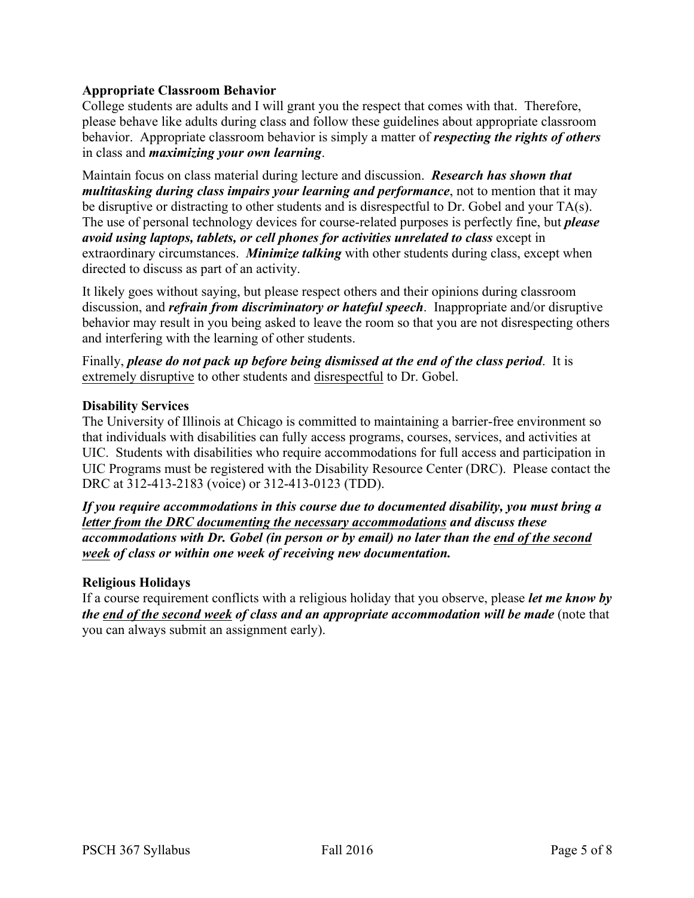## **Appropriate Classroom Behavior**

College students are adults and I will grant you the respect that comes with that. Therefore, please behave like adults during class and follow these guidelines about appropriate classroom behavior. Appropriate classroom behavior is simply a matter of *respecting the rights of others* in class and *maximizing your own learning*.

Maintain focus on class material during lecture and discussion. *Research has shown that multitasking during class impairs your learning and performance*, not to mention that it may be disruptive or distracting to other students and is disrespectful to Dr. Gobel and your TA(s). The use of personal technology devices for course-related purposes is perfectly fine, but *please avoid using laptops, tablets, or cell phones for activities unrelated to class* except in extraordinary circumstances. *Minimize talking* with other students during class, except when directed to discuss as part of an activity.

It likely goes without saying, but please respect others and their opinions during classroom discussion, and *refrain from discriminatory or hateful speech*. Inappropriate and/or disruptive behavior may result in you being asked to leave the room so that you are not disrespecting others and interfering with the learning of other students.

Finally, *please do not pack up before being dismissed at the end of the class period*. It is extremely disruptive to other students and disrespectful to Dr. Gobel.

## **Disability Services**

The University of Illinois at Chicago is committed to maintaining a barrier-free environment so that individuals with disabilities can fully access programs, courses, services, and activities at UIC. Students with disabilities who require accommodations for full access and participation in UIC Programs must be registered with the Disability Resource Center (DRC). Please contact the DRC at 312-413-2183 (voice) or 312-413-0123 (TDD).

*If you require accommodations in this course due to documented disability, you must bring a letter from the DRC documenting the necessary accommodations and discuss these accommodations with Dr. Gobel (in person or by email) no later than the end of the second week of class or within one week of receiving new documentation.*

## **Religious Holidays**

If a course requirement conflicts with a religious holiday that you observe, please *let me know by the end of the second week of class and an appropriate accommodation will be made* (note that you can always submit an assignment early).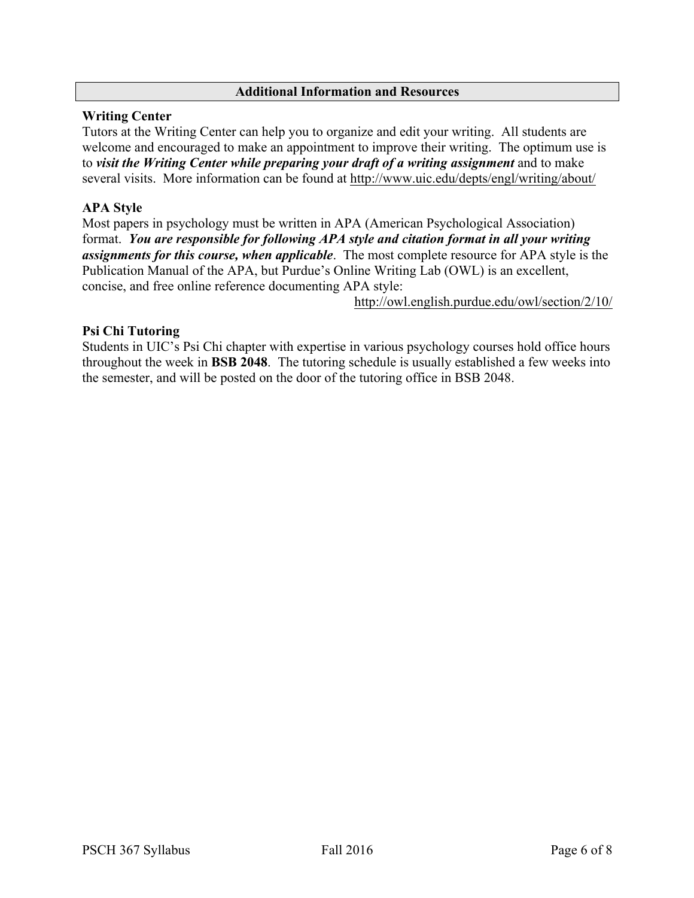### **Additional Information and Resources**

### **Writing Center**

Tutors at the Writing Center can help you to organize and edit your writing. All students are welcome and encouraged to make an appointment to improve their writing. The optimum use is to *visit the Writing Center while preparing your draft of a writing assignment* and to make several visits. More information can be found at http://www.uic.edu/depts/engl/writing/about/

# **APA Style**

Most papers in psychology must be written in APA (American Psychological Association) format. *You are responsible for following APA style and citation format in all your writing assignments for this course, when applicable*. The most complete resource for APA style is the Publication Manual of the APA, but Purdue's Online Writing Lab (OWL) is an excellent, concise, and free online reference documenting APA style:

http://owl.english.purdue.edu/owl/section/2/10/

## **Psi Chi Tutoring**

Students in UIC's Psi Chi chapter with expertise in various psychology courses hold office hours throughout the week in **BSB 2048**. The tutoring schedule is usually established a few weeks into the semester, and will be posted on the door of the tutoring office in BSB 2048.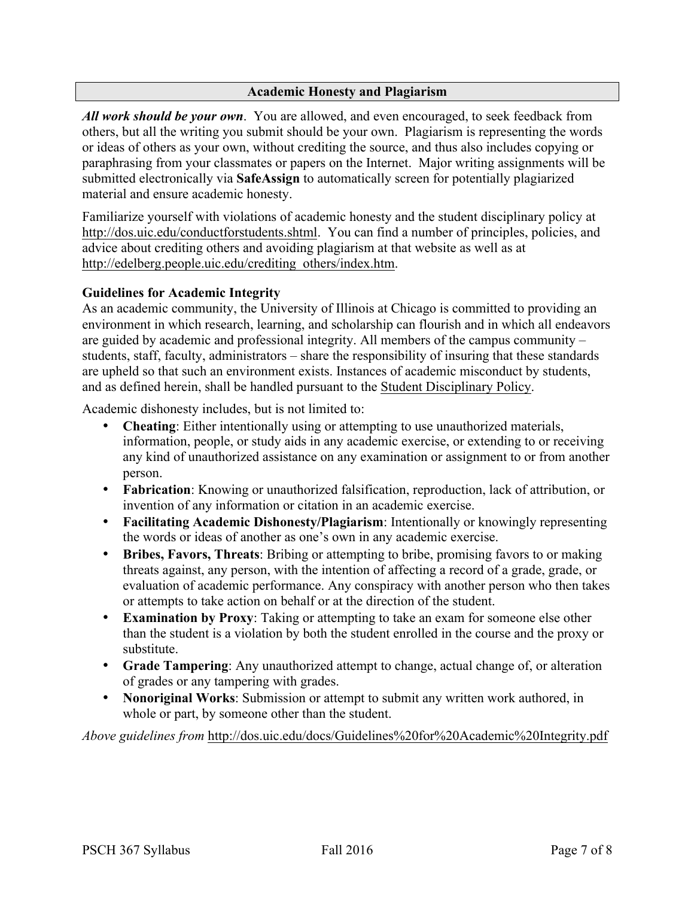### **Academic Honesty and Plagiarism**

*All work should be your own*. You are allowed, and even encouraged, to seek feedback from others, but all the writing you submit should be your own. Plagiarism is representing the words or ideas of others as your own, without crediting the source, and thus also includes copying or paraphrasing from your classmates or papers on the Internet. Major writing assignments will be submitted electronically via **SafeAssign** to automatically screen for potentially plagiarized material and ensure academic honesty.

Familiarize yourself with violations of academic honesty and the student disciplinary policy at http://dos.uic.edu/conductforstudents.shtml. You can find a number of principles, policies, and advice about crediting others and avoiding plagiarism at that website as well as at http://edelberg.people.uic.edu/crediting\_others/index.htm.

### **Guidelines for Academic Integrity**

As an academic community, the University of Illinois at Chicago is committed to providing an environment in which research, learning, and scholarship can flourish and in which all endeavors are guided by academic and professional integrity. All members of the campus community – students, staff, faculty, administrators – share the responsibility of insuring that these standards are upheld so that such an environment exists. Instances of academic misconduct by students, and as defined herein, shall be handled pursuant to the Student Disciplinary Policy.

Academic dishonesty includes, but is not limited to:

- **Cheating**: Either intentionally using or attempting to use unauthorized materials, information, people, or study aids in any academic exercise, or extending to or receiving any kind of unauthorized assistance on any examination or assignment to or from another person.
- **Fabrication**: Knowing or unauthorized falsification, reproduction, lack of attribution, or invention of any information or citation in an academic exercise.
- **Facilitating Academic Dishonesty/Plagiarism**: Intentionally or knowingly representing the words or ideas of another as one's own in any academic exercise.
- **Bribes, Favors, Threats**: Bribing or attempting to bribe, promising favors to or making threats against, any person, with the intention of affecting a record of a grade, grade, or evaluation of academic performance. Any conspiracy with another person who then takes or attempts to take action on behalf or at the direction of the student.
- **Examination by Proxy**: Taking or attempting to take an exam for someone else other than the student is a violation by both the student enrolled in the course and the proxy or substitute.
- **Grade Tampering**: Any unauthorized attempt to change, actual change of, or alteration of grades or any tampering with grades.
- **Nonoriginal Works**: Submission or attempt to submit any written work authored, in whole or part, by someone other than the student.

*Above guidelines from* http://dos.uic.edu/docs/Guidelines%20for%20Academic%20Integrity.pdf